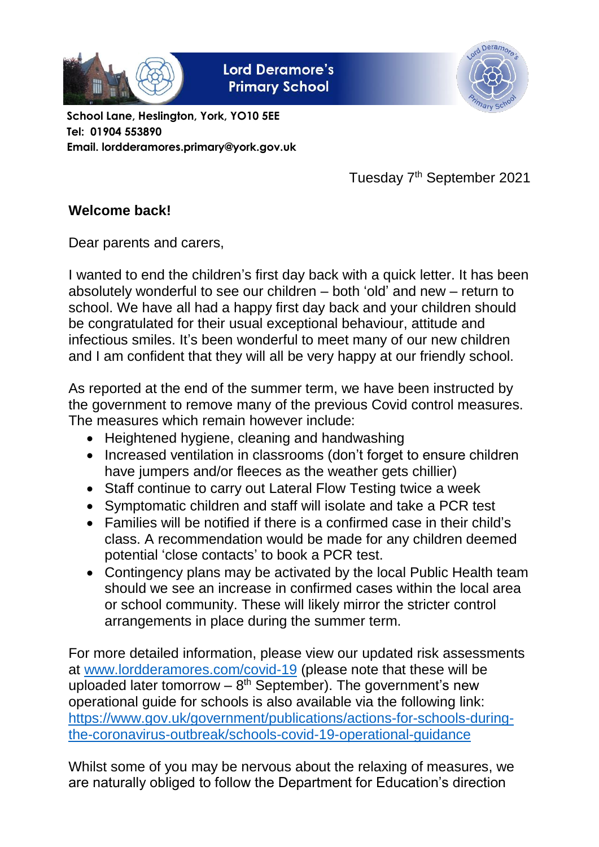

**Lord Deramore's Primary School** 



**School Lane, Heslington, York, YO10 5EE Tel: 01904 553890 Email. lordderamores.primary@york.gov.uk**

Tuesday 7<sup>th</sup> September 2021

## **Welcome back!**

Dear parents and carers,

I wanted to end the children's first day back with a quick letter. It has been absolutely wonderful to see our children – both 'old' and new – return to school. We have all had a happy first day back and your children should be congratulated for their usual exceptional behaviour, attitude and infectious smiles. It's been wonderful to meet many of our new children and I am confident that they will all be very happy at our friendly school.

As reported at the end of the summer term, we have been instructed by the government to remove many of the previous Covid control measures. The measures which remain however include:

- Heightened hygiene, cleaning and handwashing
- Increased ventilation in classrooms (don't forget to ensure children have jumpers and/or fleeces as the weather gets chillier)
- Staff continue to carry out Lateral Flow Testing twice a week
- Symptomatic children and staff will isolate and take a PCR test
- Families will be notified if there is a confirmed case in their child's class. A recommendation would be made for any children deemed potential 'close contacts' to book a PCR test.
- Contingency plans may be activated by the local Public Health team should we see an increase in confirmed cases within the local area or school community. These will likely mirror the stricter control arrangements in place during the summer term.

For more detailed information, please view our updated risk assessments at [www.lordderamores.com/covid-19](http://www.lordderamores.com/covid-19) (please note that these will be uploaded later tomorrow  $-8<sup>th</sup>$  September). The government's new operational guide for schools is also available via the following link: [https://www.gov.uk/government/publications/actions-for-schools-during](https://www.gov.uk/government/publications/actions-for-schools-during-the-coronavirus-outbreak/schools-covid-19-operational-guidance)[the-coronavirus-outbreak/schools-covid-19-operational-guidance](https://www.gov.uk/government/publications/actions-for-schools-during-the-coronavirus-outbreak/schools-covid-19-operational-guidance)

Whilst some of you may be nervous about the relaxing of measures, we are naturally obliged to follow the Department for Education's direction